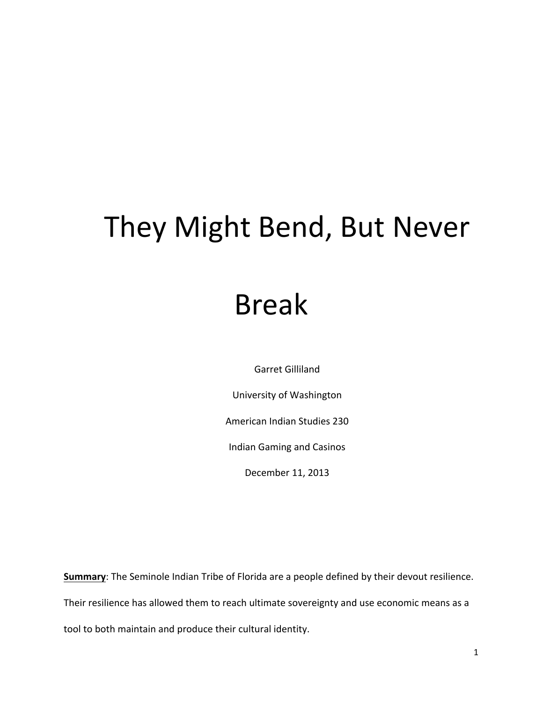## They Might Bend, But Never

## Break

Garret Gilliland

University of Washington

American Indian Studies 230

Indian Gaming and Casinos

December 11, 2013

**Summary**: The Seminole Indian Tribe of Florida are a people defined by their devout resilience. Their resilience has allowed them to reach ultimate sovereignty and use economic means as a tool to both maintain and produce their cultural identity.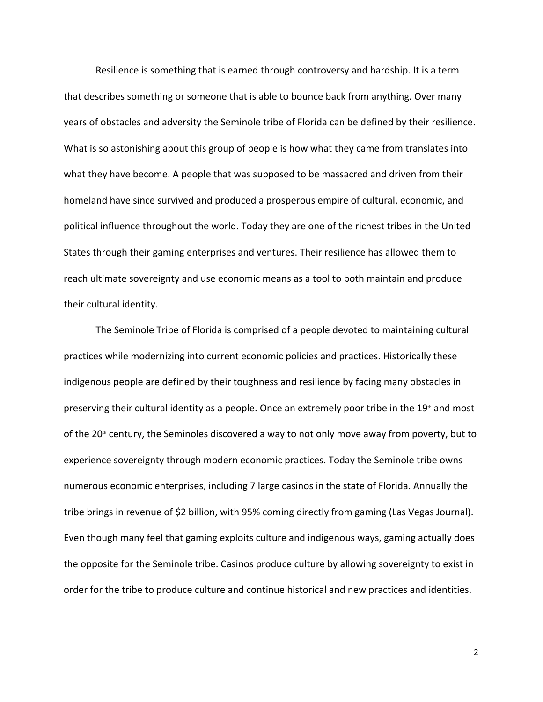Resilience is something that is earned through controversy and hardship. It is a term that describes something or someone that is able to bounce back from anything. Over many years of obstacles and adversity the Seminole tribe of Florida can be defined by their resilience. What is so astonishing about this group of people is how what they came from translates into what they have become. A people that was supposed to be massacred and driven from their homeland have since survived and produced a prosperous empire of cultural, economic, and political influence throughout the world. Today they are one of the richest tribes in the United States through their gaming enterprises and ventures. Their resilience has allowed them to reach ultimate sovereignty and use economic means as a tool to both maintain and produce their cultural identity.

The Seminole Tribe of Florida is comprised of a people devoted to maintaining cultural practices while modernizing into current economic policies and practices. Historically these indigenous people are defined by their toughness and resilience by facing many obstacles in preserving their cultural identity as a people. Once an extremely poor tribe in the  $19<sup>th</sup>$  and most of the 20<sup>th</sup> century, the Seminoles discovered a way to not only move away from poverty, but to experience sovereignty through modern economic practices. Today the Seminole tribe owns numerous economic enterprises, including 7 large casinos in the state of Florida. Annually the tribe brings in revenue of \$2 billion, with 95% coming directly from gaming (Las Vegas Journal). Even though many feel that gaming exploits culture and indigenous ways, gaming actually does the opposite for the Seminole tribe. Casinos produce culture by allowing sovereignty to exist in order for the tribe to produce culture and continue historical and new practices and identities.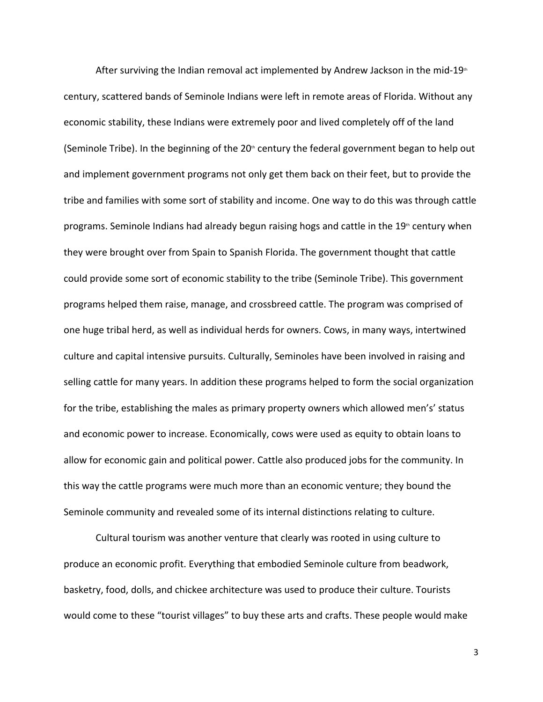After surviving the Indian removal act implemented by Andrew Jackson in the mid-19<sup>th</sup> century, scattered bands of Seminole Indians were left in remote areas of Florida. Without any economic stability, these Indians were extremely poor and lived completely off of the land (Seminole Tribe). In the beginning of the  $20<sup>th</sup>$  century the federal government began to help out and implement government programs not only get them back on their feet, but to provide the tribe and families with some sort of stability and income. One way to do this was through cattle programs. Seminole Indians had already begun raising hogs and cattle in the  $19<sup>th</sup>$  century when they were brought over from Spain to Spanish Florida. The government thought that cattle could provide some sort of economic stability to the tribe (Seminole Tribe). This government programs helped them raise, manage, and crossbreed cattle. The program was comprised of one huge tribal herd, as well as individual herds for owners. Cows, in many ways, intertwined culture and capital intensive pursuits. Culturally, Seminoles have been involved in raising and selling cattle for many years. In addition these programs helped to form the social organization for the tribe, establishing the males as primary property owners which allowed men's' status and economic power to increase. Economically, cows were used as equity to obtain loans to allow for economic gain and political power. Cattle also produced jobs for the community. In this way the cattle programs were much more than an economic venture; they bound the Seminole community and revealed some of its internal distinctions relating to culture.

Cultural tourism was another venture that clearly was rooted in using culture to produce an economic profit. Everything that embodied Seminole culture from beadwork, basketry, food, dolls, and chickee architecture was used to produce their culture. Tourists would come to these "tourist villages" to buy these arts and crafts. These people would make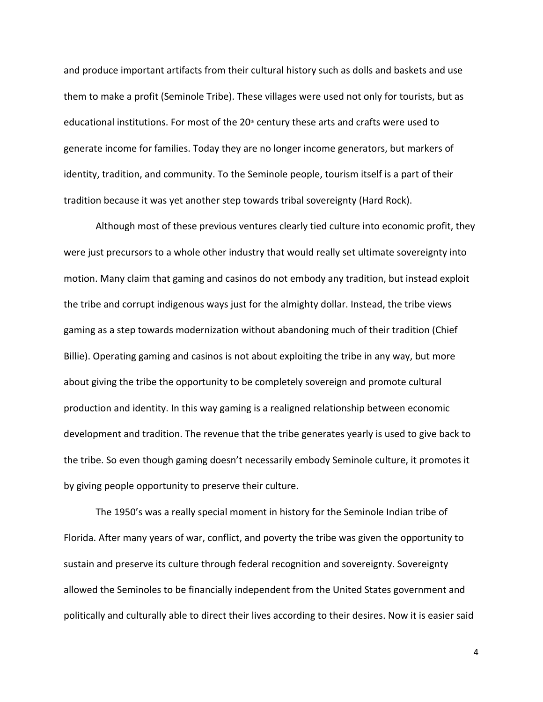and produce important artifacts from their cultural history such as dolls and baskets and use them to make a profit (Seminole Tribe). These villages were used not only for tourists, but as educational institutions. For most of the 20<sup>th</sup> century these arts and crafts were used to generate income for families. Today they are no longer income generators, but markers of identity, tradition, and community. To the Seminole people, tourism itself is a part of their tradition because it was yet another step towards tribal sovereignty (Hard Rock).

Although most of these previous ventures clearly tied culture into economic profit, they were just precursors to a whole other industry that would really set ultimate sovereignty into motion. Many claim that gaming and casinos do not embody any tradition, but instead exploit the tribe and corrupt indigenous ways just for the almighty dollar. Instead, the tribe views gaming as a step towards modernization without abandoning much of their tradition (Chief Billie). Operating gaming and casinos is not about exploiting the tribe in any way, but more about giving the tribe the opportunity to be completely sovereign and promote cultural production and identity. In this way gaming is a realigned relationship between economic development and tradition. The revenue that the tribe generates yearly is used to give back to the tribe. So even though gaming doesn't necessarily embody Seminole culture, it promotes it by giving people opportunity to preserve their culture.

The 1950's was a really special moment in history for the Seminole Indian tribe of Florida. After many years of war, conflict, and poverty the tribe was given the opportunity to sustain and preserve its culture through federal recognition and sovereignty. Sovereignty allowed the Seminoles to be financially independent from the United States government and politically and culturally able to direct their lives according to their desires. Now it is easier said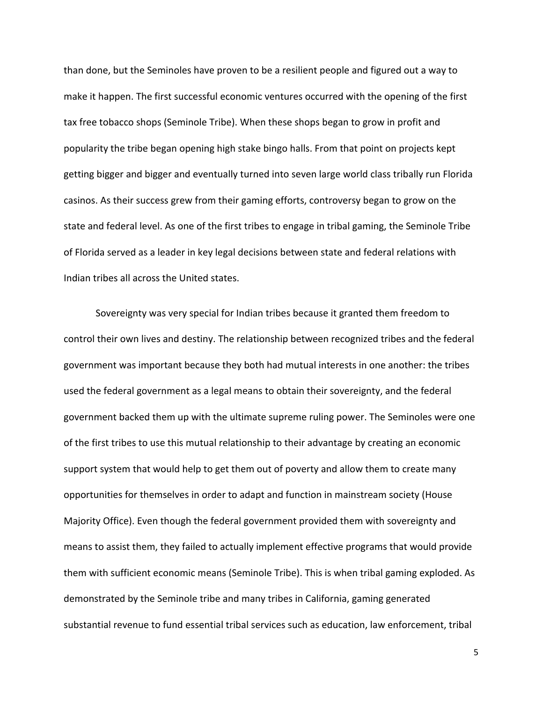than done, but the Seminoles have proven to be a resilient people and figured out a way to make it happen. The first successful economic ventures occurred with the opening of the first tax free tobacco shops (Seminole Tribe). When these shops began to grow in profit and popularity the tribe began opening high stake bingo halls. From that point on projects kept getting bigger and bigger and eventually turned into seven large world class tribally run Florida casinos. As their success grew from their gaming efforts, controversy began to grow on the state and federal level. As one of the first tribes to engage in tribal gaming, the Seminole Tribe of Florida served as a leader in key legal decisions between state and federal relations with Indian tribes all across the United states.

Sovereignty was very special for Indian tribes because it granted them freedom to control their own lives and destiny. The relationship between recognized tribes and the federal government was important because they both had mutual interests in one another: the tribes used the federal government as a legal means to obtain their sovereignty, and the federal government backed them up with the ultimate supreme ruling power. The Seminoles were one of the first tribes to use this mutual relationship to their advantage by creating an economic support system that would help to get them out of poverty and allow them to create many opportunities for themselves in order to adapt and function in mainstream society (House Majority Office). Even though the federal government provided them with sovereignty and means to assist them, they failed to actually implement effective programs that would provide them with sufficient economic means (Seminole Tribe). This is when tribal gaming exploded. As demonstrated by the Seminole tribe and many tribes in California, gaming generated substantial revenue to fund essential tribal services such as education, law enforcement, tribal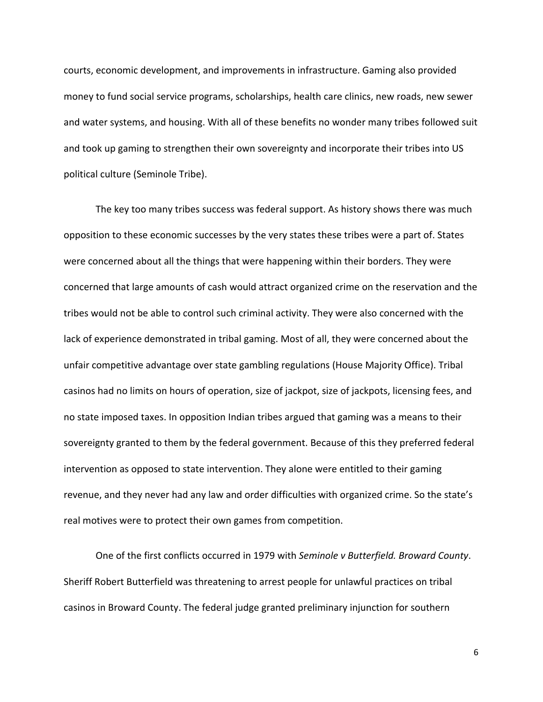courts, economic development, and improvements in infrastructure. Gaming also provided money to fund social service programs, scholarships, health care clinics, new roads, new sewer and water systems, and housing. With all of these benefits no wonder many tribes followed suit and took up gaming to strengthen their own sovereignty and incorporate their tribes into US political culture (Seminole Tribe).

The key too many tribes success was federal support. As history shows there was much opposition to these economic successes by the very states these tribes were a part of. States were concerned about all the things that were happening within their borders. They were concerned that large amounts of cash would attract organized crime on the reservation and the tribes would not be able to control such criminal activity. They were also concerned with the lack of experience demonstrated in tribal gaming. Most of all, they were concerned about the unfair competitive advantage over state gambling regulations (House Majority Office). Tribal casinos had no limits on hours of operation, size of jackpot, size of jackpots, licensing fees, and no state imposed taxes. In opposition Indian tribes argued that gaming was a means to their sovereignty granted to them by the federal government. Because of this they preferred federal intervention as opposed to state intervention. They alone were entitled to their gaming revenue, and they never had any law and order difficulties with organized crime. So the state's real motives were to protect their own games from competition.

One of the first conflicts occurred in 1979 with Seminole v Butterfield. Broward County. Sheriff Robert Butterfield was threatening to arrest people for unlawful practices on tribal casinos in Broward County. The federal judge granted preliminary injunction for southern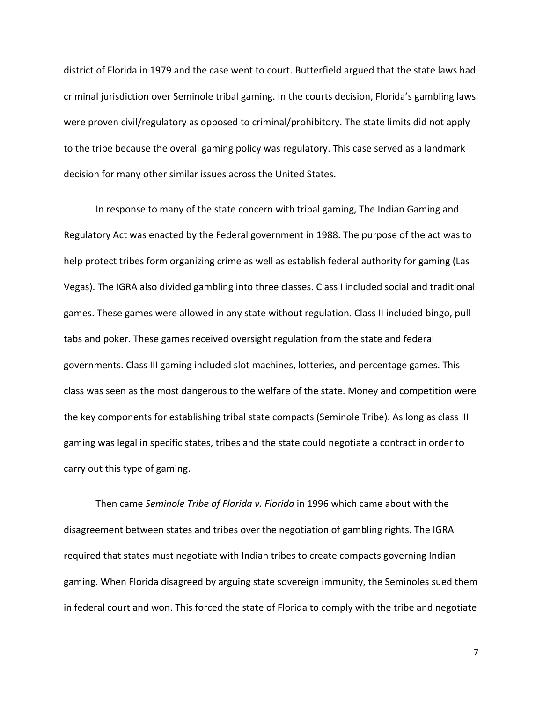district of Florida in 1979 and the case went to court. Butterfield argued that the state laws had criminal jurisdiction over Seminole tribal gaming. In the courts decision, Florida's gambling laws were proven civil/regulatory as opposed to criminal/prohibitory. The state limits did not apply to the tribe because the overall gaming policy was regulatory. This case served as a landmark decision for many other similar issues across the United States.

In response to many of the state concern with tribal gaming, The Indian Gaming and Regulatory Act was enacted by the Federal government in 1988. The purpose of the act was to help protect tribes form organizing crime as well as establish federal authority for gaming (Las Vegas). The IGRA also divided gambling into three classes. Class I included social and traditional games. These games were allowed in any state without regulation. Class II included bingo, pull tabs and poker. These games received oversight regulation from the state and federal governments. Class III gaming included slot machines, lotteries, and percentage games. This class was seen as the most dangerous to the welfare of the state. Money and competition were the key components for establishing tribal state compacts (Seminole Tribe). As long as class III gaming was legal in specific states, tribes and the state could negotiate a contract in order to carry out this type of gaming.

Then came Seminole Tribe of Florida v. Florida in 1996 which came about with the disagreement between states and tribes over the negotiation of gambling rights. The IGRA required that states must negotiate with Indian tribes to create compacts governing Indian gaming. When Florida disagreed by arguing state sovereign immunity, the Seminoles sued them in federal court and won. This forced the state of Florida to comply with the tribe and negotiate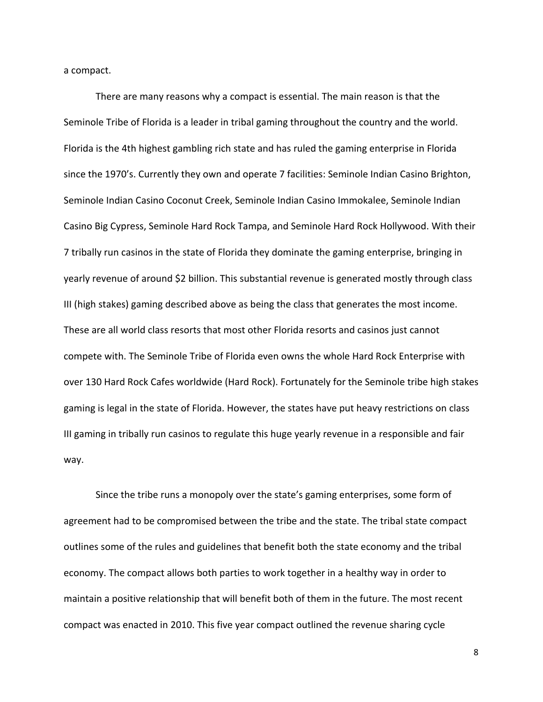a compact.

There are many reasons why a compact is essential. The main reason is that the Seminole Tribe of Florida is a leader in tribal gaming throughout the country and the world. Florida is the 4th highest gambling rich state and has ruled the gaming enterprise in Florida since the 1970's. Currently they own and operate 7 facilities: Seminole Indian Casino Brighton, Seminole Indian Casino Coconut Creek, Seminole Indian Casino Immokalee, Seminole Indian Casino Big Cypress, Seminole Hard Rock Tampa, and Seminole Hard Rock Hollywood. With their 7 tribally run casinos in the state of Florida they dominate the gaming enterprise, bringing in yearly revenue of around \$2 billion. This substantial revenue is generated mostly through class III (high stakes) gaming described above as being the class that generates the most income. These are all world class resorts that most other Florida resorts and casinos just cannot compete with. The Seminole Tribe of Florida even owns the whole Hard Rock Enterprise with over 130 Hard Rock Cafes worldwide (Hard Rock). Fortunately for the Seminole tribe high stakes gaming is legal in the state of Florida. However, the states have put heavy restrictions on class III gaming in tribally run casinos to regulate this huge yearly revenue in a responsible and fair way.

Since the tribe runs a monopoly over the state's gaming enterprises, some form of agreement had to be compromised between the tribe and the state. The tribal state compact outlines some of the rules and guidelines that benefit both the state economy and the tribal economy. The compact allows both parties to work together in a healthy way in order to maintain a positive relationship that will benefit both of them in the future. The most recent compact was enacted in 2010. This five year compact outlined the revenue sharing cycle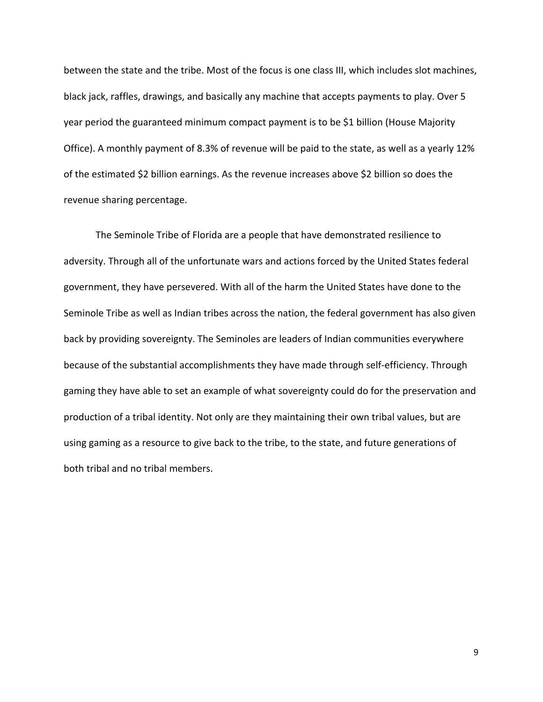between the state and the tribe. Most of the focus is one class III, which includes slot machines, black jack, raffles, drawings, and basically any machine that accepts payments to play. Over 5 year period the guaranteed minimum compact payment is to be \$1 billion (House Majority Office). A monthly payment of 8.3% of revenue will be paid to the state, as well as a yearly 12% of the estimated \$2 billion earnings. As the revenue increases above \$2 billion so does the revenue sharing percentage.

The Seminole Tribe of Florida are a people that have demonstrated resilience to adversity. Through all of the unfortunate wars and actions forced by the United States federal government, they have persevered. With all of the harm the United States have done to the Seminole Tribe as well as Indian tribes across the nation, the federal government has also given back by providing sovereignty. The Seminoles are leaders of Indian communities everywhere because of the substantial accomplishments they have made through self-efficiency. Through gaming they have able to set an example of what sovereignty could do for the preservation and production of a tribal identity. Not only are they maintaining their own tribal values, but are using gaming as a resource to give back to the tribe, to the state, and future generations of both tribal and no tribal members.